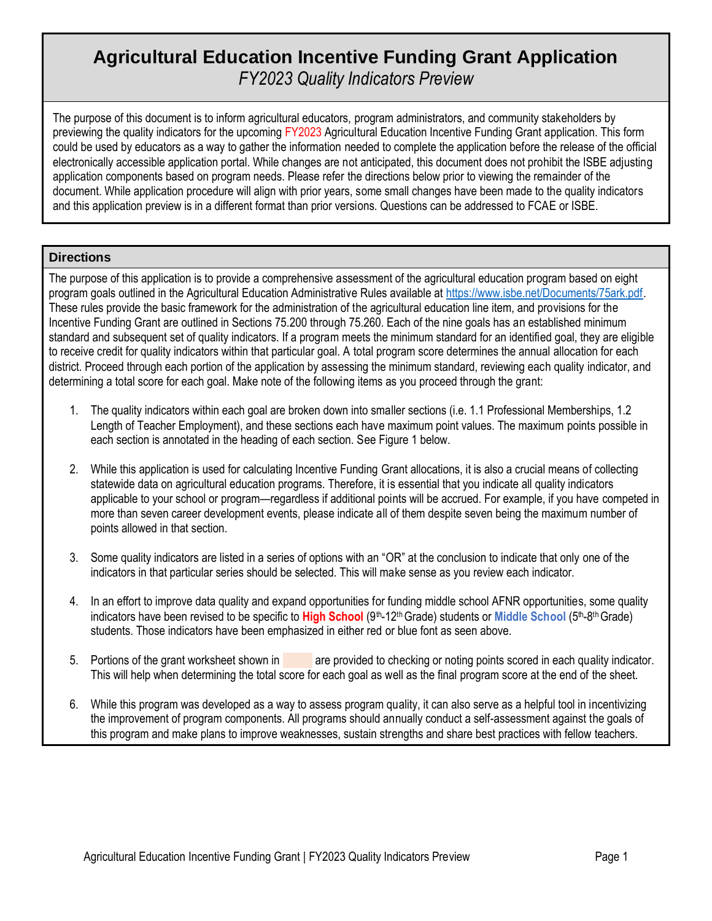# **Agricultural Education Incentive Funding Grant Application** *FY2023 Quality Indicators Preview*

The purpose of this document is to inform agricultural educators, program administrators, and community stakeholders by previewing the quality indicators for the upcoming FY2023 Agricultural Education Incentive Funding Grant application. This form could be used by educators as a way to gather the information needed to complete the application before the release of the official electronically accessible application portal. While changes are not anticipated, this document does not prohibit the ISBE adjusting application components based on program needs. Please refer the directions below prior to viewing the remainder of the document. While application procedure will align with prior years, some small changes have been made to the quality indicators and this application preview is in a different format than prior versions. Questions can be addressed to FCAE or ISBE.

### **Directions**

The purpose of this application is to provide a comprehensive assessment of the agricultural education program based on eight program goals outlined in the Agricultural Education Administrative Rules available at [https://www.isbe.net/Documents/75ark.pdf.](https://www.isbe.net/Documents/75ark.pdf) These rules provide the basic framework for the administration of the agricultural education line item, and provisions for the Incentive Funding Grant are outlined in Sections 75.200 through 75.260. Each of the nine goals has an established minimum standard and subsequent set of quality indicators. If a program meets the minimum standard for an identified goal, they are eligible to receive credit for quality indicators within that particular goal. A total program score determines the annual allocation for each district. Proceed through each portion of the application by assessing the minimum standard, reviewing each quality indicator, and determining a total score for each goal. Make note of the following items as you proceed through the grant:

- 1. The quality indicators within each goal are broken down into smaller sections (i.e. 1.1 Professional Memberships, 1.2 Length of Teacher Employment), and these sections each have maximum point values. The maximum points possible in each section is annotated in the heading of each section. See Figure 1 below.
- 2. While this application is used for calculating Incentive Funding Grant allocations, it is also a crucial means of collecting statewide data on agricultural education programs. Therefore, it is essential that you indicate all quality indicators applicable to your school or program—regardless if additional points will be accrued. For example, if you have competed in more than seven career development events, please indicate all of them despite seven being the maximum number of points allowed in that section.
- 3. Some quality indicators are listed in a series of options with an "OR" at the conclusion to indicate that only one of the indicators in that particular series should be selected. This will make sense as you review each indicator.
- 4. In an effort to improve data quality and expand opportunities for funding middle school AFNR opportunities, some quality indicators have been revised to be specific to High School (9<sup>th</sup>-12<sup>th</sup> Grade) students or Middle School (5<sup>th</sup>-8<sup>th</sup> Grade) students. Those indicators have been emphasized in either red or blue font as seen above.
- 5. Portions of the grant worksheet shown in a are provided to checking or noting points scored in each quality indicator. This will help when determining the total score for each goal as well as the final program score at the end of the sheet.
- 6. While this program was developed as a way to assess program quality, it can also serve as a helpful tool in incentivizing the improvement of program components. All programs should annually conduct a self-assessment against the goals of this program and make plans to improve weaknesses, sustain strengths and share best practices with fellow teachers.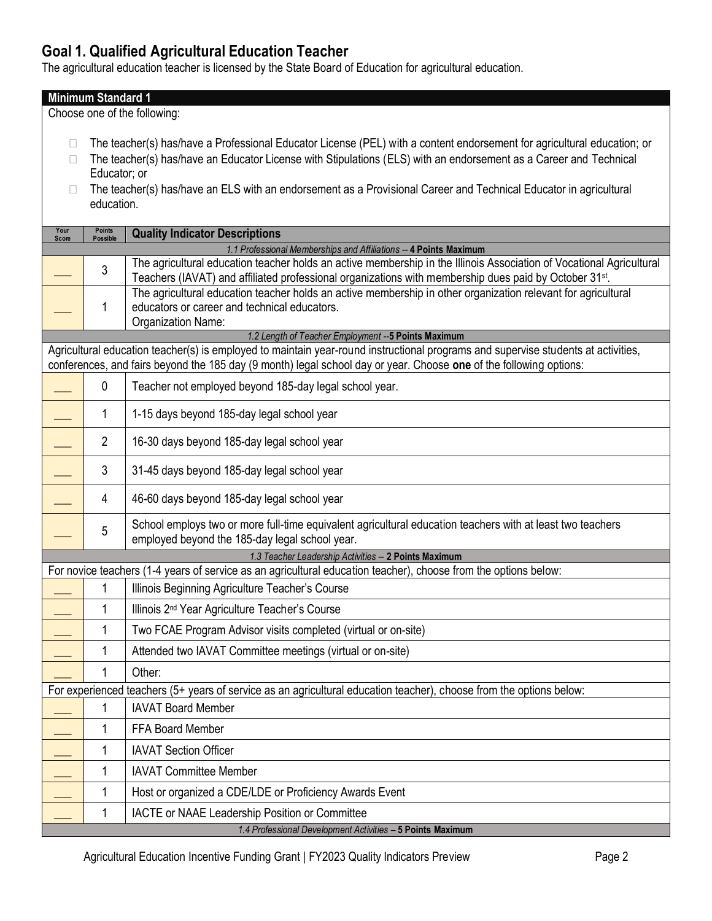# **Goal 1. Qualified Agricultural Education Teacher**

The agricultural education teacher is licensed by the State Board of Education for agricultural education.

|               | <b>Minimum Standard 1</b>        |                                                                                                                                                                                                                                              |  |  |
|---------------|----------------------------------|----------------------------------------------------------------------------------------------------------------------------------------------------------------------------------------------------------------------------------------------|--|--|
|               |                                  | Choose one of the following:                                                                                                                                                                                                                 |  |  |
|               |                                  |                                                                                                                                                                                                                                              |  |  |
| $\Box$<br>П   |                                  | The teacher(s) has/have a Professional Educator License (PEL) with a content endorsement for agricultural education; or<br>The teacher(s) has/have an Educator License with Stipulations (ELS) with an endorsement as a Career and Technical |  |  |
|               | Educator; or                     |                                                                                                                                                                                                                                              |  |  |
|               |                                  | The teacher(s) has/have an ELS with an endorsement as a Provisional Career and Technical Educator in agricultural                                                                                                                            |  |  |
|               | education.                       |                                                                                                                                                                                                                                              |  |  |
| Your<br>Score | <b>Points</b><br><b>Possible</b> | <b>Quality Indicator Descriptions</b>                                                                                                                                                                                                        |  |  |
|               |                                  | 1.1 Professional Memberships and Affiliations -- 4 Points Maximum                                                                                                                                                                            |  |  |
|               | 3                                | The agricultural education teacher holds an active membership in the Illinois Association of Vocational Agricultural<br>Teachers (IAVAT) and affiliated professional organizations with membership dues paid by October 31 <sup>st</sup> .   |  |  |
|               |                                  | The agricultural education teacher holds an active membership in other organization relevant for agricultural                                                                                                                                |  |  |
|               | 1                                | educators or career and technical educators.<br>Organization Name:                                                                                                                                                                           |  |  |
|               |                                  | 1.2 Length of Teacher Employment -- 5 Points Maximum                                                                                                                                                                                         |  |  |
|               |                                  | Agricultural education teacher(s) is employed to maintain year-round instructional programs and supervise students at activities,                                                                                                            |  |  |
|               |                                  | conferences, and fairs beyond the 185 day (9 month) legal school day or year. Choose one of the following options:                                                                                                                           |  |  |
|               | 0                                | Teacher not employed beyond 185-day legal school year.                                                                                                                                                                                       |  |  |
|               | 1                                | 1-15 days beyond 185-day legal school year                                                                                                                                                                                                   |  |  |
|               | $\overline{2}$                   | 16-30 days beyond 185-day legal school year                                                                                                                                                                                                  |  |  |
|               | 3                                | 31-45 days beyond 185-day legal school year                                                                                                                                                                                                  |  |  |
|               | 4                                | 46-60 days beyond 185-day legal school year                                                                                                                                                                                                  |  |  |
|               | 5                                | School employs two or more full-time equivalent agricultural education teachers with at least two teachers<br>employed beyond the 185-day legal school year.                                                                                 |  |  |
|               |                                  | 1.3 Teacher Leadership Activities -- 2 Points Maximum                                                                                                                                                                                        |  |  |
|               |                                  | For novice teachers (1-4 years of service as an agricultural education teacher), choose from the options below:                                                                                                                              |  |  |
|               | 1                                | Illinois Beginning Agriculture Teacher's Course                                                                                                                                                                                              |  |  |
|               |                                  | Illinois 2 <sup>nd</sup> Year Agriculture Teacher's Course                                                                                                                                                                                   |  |  |
|               | 1                                | Two FCAE Program Advisor visits completed (virtual or on-site)                                                                                                                                                                               |  |  |
|               | 1                                | Attended two IAVAT Committee meetings (virtual or on-site)                                                                                                                                                                                   |  |  |
|               | 1                                | Other:                                                                                                                                                                                                                                       |  |  |
|               |                                  | For experienced teachers (5+ years of service as an agricultural education teacher), choose from the options below:                                                                                                                          |  |  |
|               | 1                                | <b>IAVAT Board Member</b>                                                                                                                                                                                                                    |  |  |
|               | 1                                | FFA Board Member                                                                                                                                                                                                                             |  |  |
|               | 1                                | <b>IAVAT Section Officer</b>                                                                                                                                                                                                                 |  |  |
|               | 1                                | <b>IAVAT Committee Member</b>                                                                                                                                                                                                                |  |  |
|               | 1                                | Host or organized a CDE/LDE or Proficiency Awards Event                                                                                                                                                                                      |  |  |
|               | 1                                | IACTE or NAAE Leadership Position or Committee                                                                                                                                                                                               |  |  |
|               |                                  | 1.4 Professional Development Activities - 5 Points Maximum                                                                                                                                                                                   |  |  |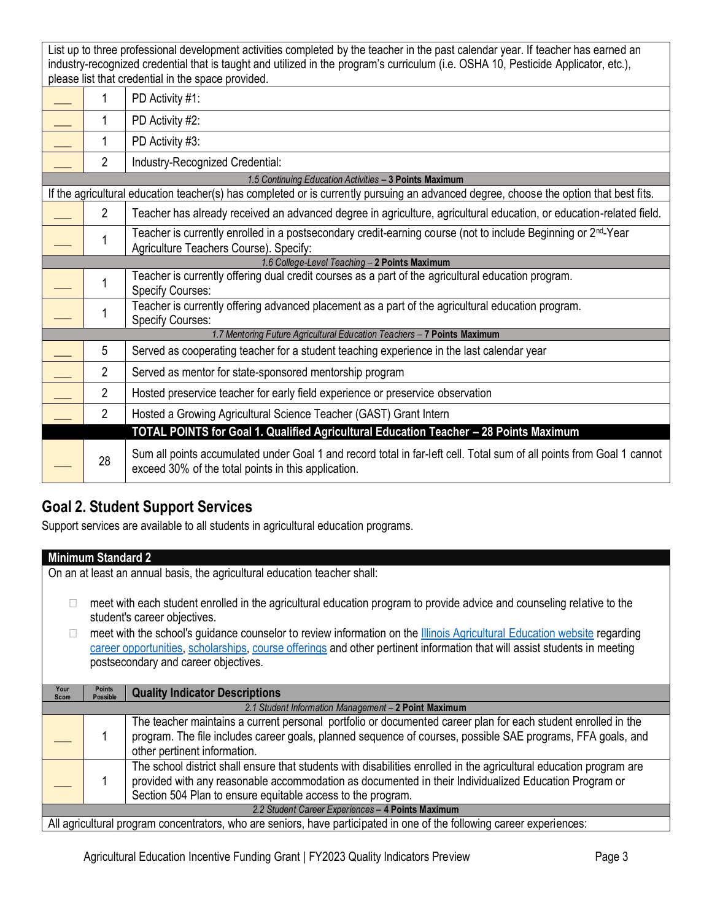List up to three professional development activities completed by the teacher in the past calendar year. If teacher has earned an industry-recognized credential that is taught and utilized in the program's curriculum (i.e. OSHA 10, Pesticide Applicator, etc.), please list that credential in the space provided.

| 1              | PD Activity #1:                                                                                                                                                              |
|----------------|------------------------------------------------------------------------------------------------------------------------------------------------------------------------------|
| 1              | PD Activity #2:                                                                                                                                                              |
|                | PD Activity #3:                                                                                                                                                              |
| $\overline{2}$ | Industry-Recognized Credential:                                                                                                                                              |
|                | 1.5 Continuing Education Activities - 3 Points Maximum                                                                                                                       |
|                | If the agricultural education teacher(s) has completed or is currently pursuing an advanced degree, choose the option that best fits.                                        |
| $\overline{2}$ | Teacher has already received an advanced degree in agriculture, agricultural education, or education-related field.                                                          |
|                | Teacher is currently enrolled in a postsecondary credit-earning course (not to include Beginning or 2 <sup>nd</sup> -Year<br>Agriculture Teachers Course). Specify:          |
|                | 1.6 College-Level Teaching - 2 Points Maximum                                                                                                                                |
| 1              | Teacher is currently offering dual credit courses as a part of the agricultural education program.<br><b>Specify Courses:</b>                                                |
|                | Teacher is currently offering advanced placement as a part of the agricultural education program.<br><b>Specify Courses:</b>                                                 |
|                | 1.7 Mentoring Future Agricultural Education Teachers - 7 Points Maximum                                                                                                      |
| 5              | Served as cooperating teacher for a student teaching experience in the last calendar year                                                                                    |
| $\overline{2}$ | Served as mentor for state-sponsored mentorship program                                                                                                                      |
| $\overline{2}$ | Hosted preservice teacher for early field experience or preservice observation                                                                                               |
| $\overline{2}$ | Hosted a Growing Agricultural Science Teacher (GAST) Grant Intern                                                                                                            |
|                | TOTAL POINTS for Goal 1. Qualified Agricultural Education Teacher - 28 Points Maximum                                                                                        |
| 28             | Sum all points accumulated under Goal 1 and record total in far-left cell. Total sum of all points from Goal 1 cannot<br>exceed 30% of the total points in this application. |

# **Goal 2. Student Support Services**

Support services are available to all students in agricultural education programs.

|                                                      | <b>Minimum Standard 2</b>        |                                                                                                                                 |  |
|------------------------------------------------------|----------------------------------|---------------------------------------------------------------------------------------------------------------------------------|--|
|                                                      |                                  | On an at least an annual basis, the agricultural education teacher shall:                                                       |  |
|                                                      |                                  |                                                                                                                                 |  |
| $\Box$                                               |                                  | meet with each student enrolled in the agricultural education program to provide advice and counseling relative to the          |  |
|                                                      |                                  | student's career objectives.                                                                                                    |  |
|                                                      |                                  | meet with the school's guidance counselor to review information on the <b>Illinois Agricultural Education website regarding</b> |  |
|                                                      |                                  | career opportunities, scholarships, course offerings and other pertinent information that will assist students in meeting       |  |
|                                                      |                                  | postsecondary and career objectives.                                                                                            |  |
|                                                      |                                  |                                                                                                                                 |  |
| Your<br><b>Score</b>                                 | <b>Points</b><br><b>Possible</b> | <b>Quality Indicator Descriptions</b>                                                                                           |  |
| 2.1 Student Information Management - 2 Point Maximum |                                  |                                                                                                                                 |  |
|                                                      |                                  | The teacher maintains a current personal portfolio or documented career plan for each student enrolled in the                   |  |
|                                                      | 1                                | program. The file includes career goals, planned sequence of courses, possible SAE programs, FFA goals, and                     |  |
|                                                      |                                  | other pertinent information.                                                                                                    |  |
|                                                      |                                  | The school district shall ensure that students with disabilities enrolled in the agricultural education program are             |  |
|                                                      |                                  | provided with any reasonable accommodation as documented in their Individualized Education Program or                           |  |
|                                                      |                                  | Section 504 Plan to ensure equitable access to the program.                                                                     |  |
|                                                      |                                  | 2.2 Student Career Experiences - 4 Points Maximum                                                                               |  |
|                                                      |                                  | All agricultural program concentrators, who are seniors, have participated in one of the following career experiences:          |  |
|                                                      |                                  |                                                                                                                                 |  |
|                                                      |                                  |                                                                                                                                 |  |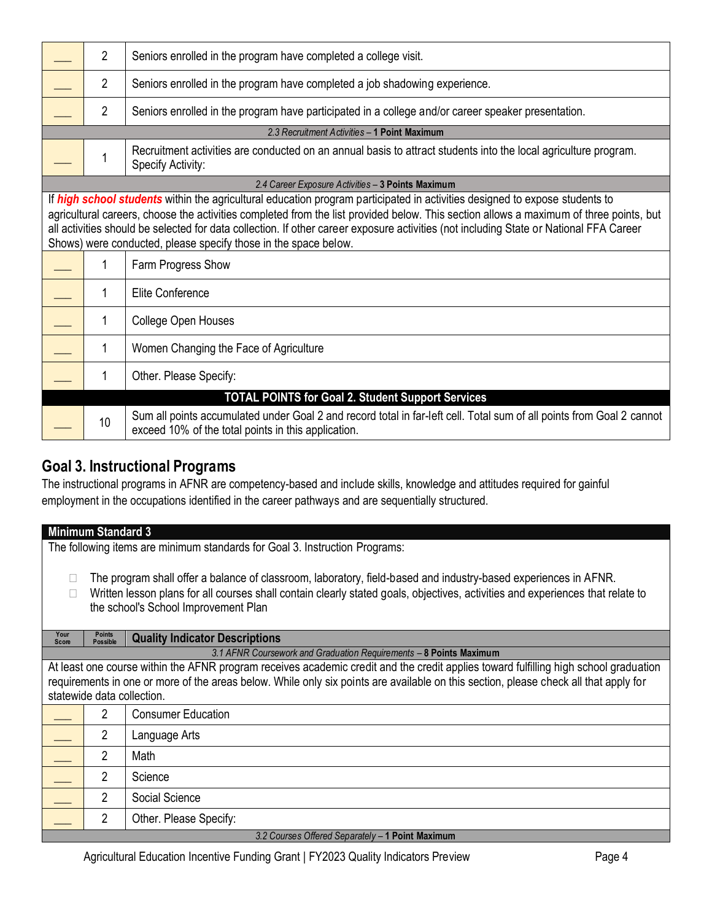| $\overline{2}$ | Seniors enrolled in the program have completed a college visit.                                                                                                                                                                                                                                                                                                                                                                                                                    |
|----------------|------------------------------------------------------------------------------------------------------------------------------------------------------------------------------------------------------------------------------------------------------------------------------------------------------------------------------------------------------------------------------------------------------------------------------------------------------------------------------------|
| $\overline{2}$ | Seniors enrolled in the program have completed a job shadowing experience.                                                                                                                                                                                                                                                                                                                                                                                                         |
| $\overline{2}$ | Seniors enrolled in the program have participated in a college and/or career speaker presentation.                                                                                                                                                                                                                                                                                                                                                                                 |
|                | 2.3 Recruitment Activities - 1 Point Maximum                                                                                                                                                                                                                                                                                                                                                                                                                                       |
| 1              | Recruitment activities are conducted on an annual basis to attract students into the local agriculture program.<br>Specify Activity:                                                                                                                                                                                                                                                                                                                                               |
|                | 2.4 Career Exposure Activities - 3 Points Maximum                                                                                                                                                                                                                                                                                                                                                                                                                                  |
|                | If high school students within the agricultural education program participated in activities designed to expose students to<br>agricultural careers, choose the activities completed from the list provided below. This section allows a maximum of three points, but<br>all activities should be selected for data collection. If other career exposure activities (not including State or National FFA Career<br>Shows) were conducted, please specify those in the space below. |
| 1              | Farm Progress Show                                                                                                                                                                                                                                                                                                                                                                                                                                                                 |
| 1              | Elite Conference                                                                                                                                                                                                                                                                                                                                                                                                                                                                   |
| 1              | College Open Houses                                                                                                                                                                                                                                                                                                                                                                                                                                                                |
| 1              | Women Changing the Face of Agriculture                                                                                                                                                                                                                                                                                                                                                                                                                                             |
| 1              | Other. Please Specify:                                                                                                                                                                                                                                                                                                                                                                                                                                                             |
|                | <b>TOTAL POINTS for Goal 2. Student Support Services</b>                                                                                                                                                                                                                                                                                                                                                                                                                           |
| 10             | Sum all points accumulated under Goal 2 and record total in far-left cell. Total sum of all points from Goal 2 cannot<br>exceed 10% of the total points in this application.                                                                                                                                                                                                                                                                                                       |

# **Goal 3. Instructional Programs**

The instructional programs in AFNR are competency-based and include skills, knowledge and attitudes required for gainful employment in the occupations identified in the career pathways and are sequentially structured.

| <b>Minimum Standard 3</b>                                                                                                                                                                                                                                                                                  |  |  |  |
|------------------------------------------------------------------------------------------------------------------------------------------------------------------------------------------------------------------------------------------------------------------------------------------------------------|--|--|--|
| The following items are minimum standards for Goal 3. Instruction Programs:                                                                                                                                                                                                                                |  |  |  |
| The program shall offer a balance of classroom, laboratory, field-based and industry-based experiences in AFNR.<br>Written lesson plans for all courses shall contain clearly stated goals, objectives, activities and experiences that relate to<br>the school's School Improvement Plan                  |  |  |  |
| Your<br><b>Points</b><br><b>Quality Indicator Descriptions</b><br><b>Possible</b><br>Score                                                                                                                                                                                                                 |  |  |  |
| 3.1 AFNR Coursework and Graduation Requirements - 8 Points Maximum                                                                                                                                                                                                                                         |  |  |  |
| At least one course within the AFNR program receives academic credit and the credit applies toward fulfilling high school graduation<br>requirements in one or more of the areas below. While only six points are available on this section, please check all that apply for<br>statewide data collection. |  |  |  |
| $\overline{2}$<br><b>Consumer Education</b>                                                                                                                                                                                                                                                                |  |  |  |
| 2<br>Language Arts                                                                                                                                                                                                                                                                                         |  |  |  |
| $\overline{2}$<br>Math                                                                                                                                                                                                                                                                                     |  |  |  |
| $\overline{2}$<br>Science                                                                                                                                                                                                                                                                                  |  |  |  |
| 2<br>Social Science                                                                                                                                                                                                                                                                                        |  |  |  |
| $\overline{2}$<br>Other. Please Specify:                                                                                                                                                                                                                                                                   |  |  |  |
| 3.2 Courses Offered Separately - 1 Point Maximum                                                                                                                                                                                                                                                           |  |  |  |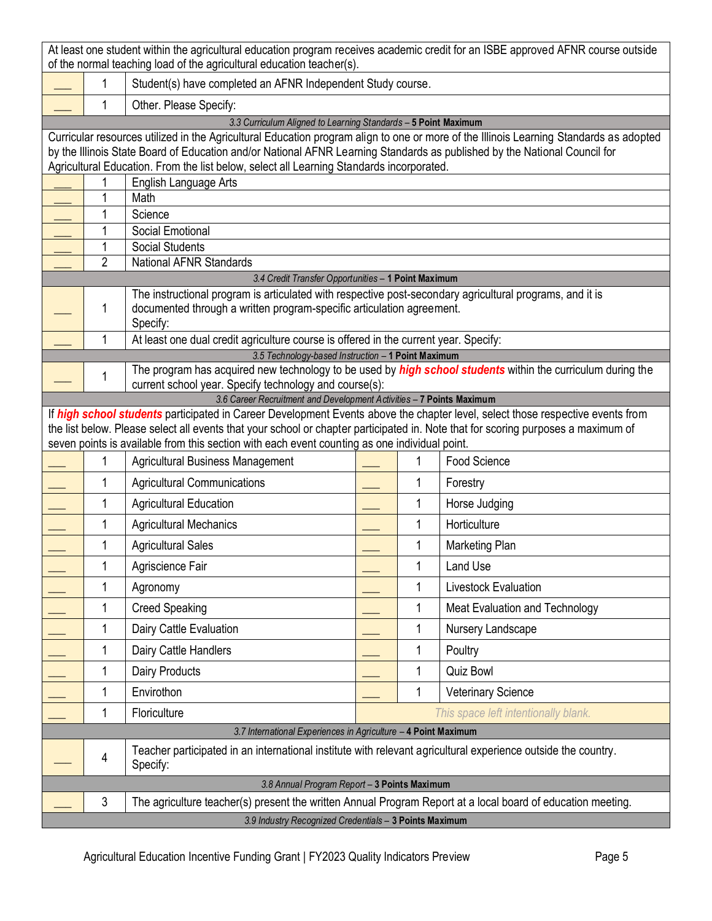| At least one student within the agricultural education program receives academic credit for an ISBE approved AFNR course outside<br>of the normal teaching load of the agricultural education teacher(s). |                                                                                                                                                             |                                                                                                                                                                                                                                    |  |   |                                      |
|-----------------------------------------------------------------------------------------------------------------------------------------------------------------------------------------------------------|-------------------------------------------------------------------------------------------------------------------------------------------------------------|------------------------------------------------------------------------------------------------------------------------------------------------------------------------------------------------------------------------------------|--|---|--------------------------------------|
|                                                                                                                                                                                                           | 1                                                                                                                                                           | Student(s) have completed an AFNR Independent Study course.                                                                                                                                                                        |  |   |                                      |
|                                                                                                                                                                                                           | 1                                                                                                                                                           | Other. Please Specify:                                                                                                                                                                                                             |  |   |                                      |
|                                                                                                                                                                                                           |                                                                                                                                                             | 3.3 Curriculum Aligned to Learning Standards - 5 Point Maximum                                                                                                                                                                     |  |   |                                      |
|                                                                                                                                                                                                           |                                                                                                                                                             | Curricular resources utilized in the Agricultural Education program align to one or more of the Illinois Learning Standards as adopted                                                                                             |  |   |                                      |
|                                                                                                                                                                                                           |                                                                                                                                                             | by the Illinois State Board of Education and/or National AFNR Learning Standards as published by the National Council for                                                                                                          |  |   |                                      |
|                                                                                                                                                                                                           |                                                                                                                                                             | Agricultural Education. From the list below, select all Learning Standards incorporated.<br>English Language Arts                                                                                                                  |  |   |                                      |
|                                                                                                                                                                                                           | 1                                                                                                                                                           | Math                                                                                                                                                                                                                               |  |   |                                      |
|                                                                                                                                                                                                           | 1                                                                                                                                                           | Science                                                                                                                                                                                                                            |  |   |                                      |
|                                                                                                                                                                                                           | 1                                                                                                                                                           | <b>Social Emotional</b>                                                                                                                                                                                                            |  |   |                                      |
|                                                                                                                                                                                                           | 1                                                                                                                                                           | <b>Social Students</b>                                                                                                                                                                                                             |  |   |                                      |
|                                                                                                                                                                                                           | $\overline{2}$                                                                                                                                              | <b>National AFNR Standards</b>                                                                                                                                                                                                     |  |   |                                      |
|                                                                                                                                                                                                           |                                                                                                                                                             | 3.4 Credit Transfer Opportunities - 1 Point Maximum                                                                                                                                                                                |  |   |                                      |
|                                                                                                                                                                                                           |                                                                                                                                                             | The instructional program is articulated with respective post-secondary agricultural programs, and it is                                                                                                                           |  |   |                                      |
|                                                                                                                                                                                                           | 1                                                                                                                                                           | documented through a written program-specific articulation agreement.                                                                                                                                                              |  |   |                                      |
|                                                                                                                                                                                                           | 1                                                                                                                                                           | Specify:<br>At least one dual credit agriculture course is offered in the current year. Specify:                                                                                                                                   |  |   |                                      |
|                                                                                                                                                                                                           |                                                                                                                                                             | 3.5 Technology-based Instruction - 1 Point Maximum                                                                                                                                                                                 |  |   |                                      |
|                                                                                                                                                                                                           |                                                                                                                                                             | The program has acquired new technology to be used by <i>high school students</i> within the curriculum during the                                                                                                                 |  |   |                                      |
|                                                                                                                                                                                                           | 1                                                                                                                                                           | current school year. Specify technology and course(s):                                                                                                                                                                             |  |   |                                      |
|                                                                                                                                                                                                           |                                                                                                                                                             | 3.6 Career Recruitment and Development Activities - 7 Points Maximum                                                                                                                                                               |  |   |                                      |
|                                                                                                                                                                                                           |                                                                                                                                                             | If high school students participated in Career Development Events above the chapter level, select those respective events from                                                                                                     |  |   |                                      |
|                                                                                                                                                                                                           |                                                                                                                                                             | the list below. Please select all events that your school or chapter participated in. Note that for scoring purposes a maximum of<br>seven points is available from this section with each event counting as one individual point. |  |   |                                      |
|                                                                                                                                                                                                           | 1                                                                                                                                                           | Agricultural Business Management                                                                                                                                                                                                   |  | 1 | Food Science                         |
|                                                                                                                                                                                                           | 1                                                                                                                                                           | <b>Agricultural Communications</b>                                                                                                                                                                                                 |  | 1 | Forestry                             |
|                                                                                                                                                                                                           | 1                                                                                                                                                           | <b>Agricultural Education</b>                                                                                                                                                                                                      |  | 1 | Horse Judging                        |
|                                                                                                                                                                                                           | 1                                                                                                                                                           | <b>Agricultural Mechanics</b>                                                                                                                                                                                                      |  | 1 | Horticulture                         |
|                                                                                                                                                                                                           | 1                                                                                                                                                           | <b>Agricultural Sales</b>                                                                                                                                                                                                          |  | 1 | Marketing Plan                       |
|                                                                                                                                                                                                           | 1                                                                                                                                                           | Agriscience Fair                                                                                                                                                                                                                   |  | 1 | Land Use                             |
|                                                                                                                                                                                                           | 1                                                                                                                                                           | Agronomy                                                                                                                                                                                                                           |  | 1 | Livestock Evaluation                 |
|                                                                                                                                                                                                           | 1                                                                                                                                                           | <b>Creed Speaking</b>                                                                                                                                                                                                              |  | 1 | Meat Evaluation and Technology       |
|                                                                                                                                                                                                           | 1                                                                                                                                                           | Dairy Cattle Evaluation                                                                                                                                                                                                            |  | 1 | Nursery Landscape                    |
|                                                                                                                                                                                                           | 1                                                                                                                                                           | Dairy Cattle Handlers                                                                                                                                                                                                              |  | 1 | Poultry                              |
|                                                                                                                                                                                                           | 1                                                                                                                                                           | Dairy Products                                                                                                                                                                                                                     |  | 1 | <b>Quiz Bowl</b>                     |
|                                                                                                                                                                                                           | 1                                                                                                                                                           | Envirothon                                                                                                                                                                                                                         |  | 1 | <b>Veterinary Science</b>            |
|                                                                                                                                                                                                           | 1                                                                                                                                                           | Floriculture                                                                                                                                                                                                                       |  |   | This space left intentionally blank. |
|                                                                                                                                                                                                           |                                                                                                                                                             | 3.7 International Experiences in Agriculture - 4 Point Maximum                                                                                                                                                                     |  |   |                                      |
|                                                                                                                                                                                                           | 4                                                                                                                                                           | Teacher participated in an international institute with relevant agricultural experience outside the country.                                                                                                                      |  |   |                                      |
|                                                                                                                                                                                                           |                                                                                                                                                             | Specify:                                                                                                                                                                                                                           |  |   |                                      |
|                                                                                                                                                                                                           | 3.8 Annual Program Report - 3 Points Maximum<br>The agriculture teacher(s) present the written Annual Program Report at a local board of education meeting. |                                                                                                                                                                                                                                    |  |   |                                      |
|                                                                                                                                                                                                           | 3                                                                                                                                                           |                                                                                                                                                                                                                                    |  |   |                                      |
|                                                                                                                                                                                                           | 3.9 Industry Recognized Credentials - 3 Points Maximum                                                                                                      |                                                                                                                                                                                                                                    |  |   |                                      |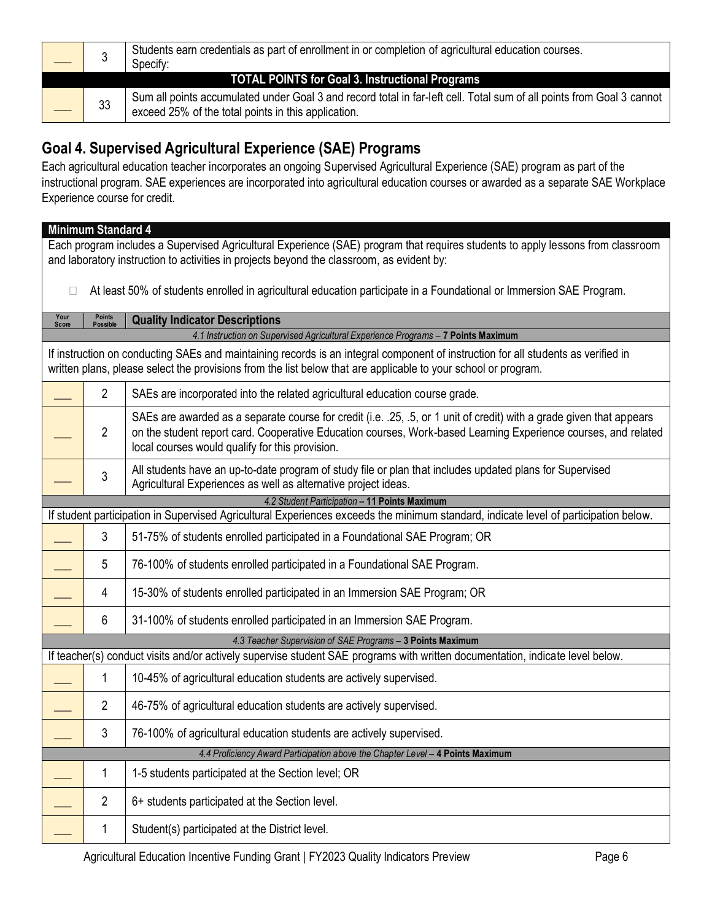|                                                 |    | Students earn credentials as part of enrollment in or completion of agricultural education courses.<br>Specify:                                                              |  |
|-------------------------------------------------|----|------------------------------------------------------------------------------------------------------------------------------------------------------------------------------|--|
| TOTAL POINTS for Goal 3. Instructional Programs |    |                                                                                                                                                                              |  |
|                                                 | 33 | Sum all points accumulated under Goal 3 and record total in far-left cell. Total sum of all points from Goal 3 cannot<br>exceed 25% of the total points in this application. |  |

# **Goal 4. Supervised Agricultural Experience (SAE) Programs**

Each agricultural education teacher incorporates an ongoing Supervised Agricultural Experience (SAE) program as part of the instructional program. SAE experiences are incorporated into agricultural education courses or awarded as a separate SAE Workplace Experience course for credit.

### **Minimum Standard 4**

Each program includes a Supervised Agricultural Experience (SAE) program that requires students to apply lessons from classroom and laboratory instruction to activities in projects beyond the classroom, as evident by:

□ At least 50% of students enrolled in agricultural education participate in a Foundational or Immersion SAE Program.

| Your<br>Score | <b>Points</b><br><b>Possible</b>                                                                                                                                                                                                                    | <b>Quality Indicator Descriptions</b>                                                                                                                                                                                                                                                     |  |  |  |
|---------------|-----------------------------------------------------------------------------------------------------------------------------------------------------------------------------------------------------------------------------------------------------|-------------------------------------------------------------------------------------------------------------------------------------------------------------------------------------------------------------------------------------------------------------------------------------------|--|--|--|
|               | 4.1 Instruction on Supervised Agricultural Experience Programs - 7 Points Maximum                                                                                                                                                                   |                                                                                                                                                                                                                                                                                           |  |  |  |
|               | If instruction on conducting SAEs and maintaining records is an integral component of instruction for all students as verified in<br>written plans, please select the provisions from the list below that are applicable to your school or program. |                                                                                                                                                                                                                                                                                           |  |  |  |
|               | $\overline{2}$                                                                                                                                                                                                                                      | SAEs are incorporated into the related agricultural education course grade.                                                                                                                                                                                                               |  |  |  |
|               | $\overline{2}$                                                                                                                                                                                                                                      | SAEs are awarded as a separate course for credit (i.e. .25, .5, or 1 unit of credit) with a grade given that appears<br>on the student report card. Cooperative Education courses, Work-based Learning Experience courses, and related<br>local courses would qualify for this provision. |  |  |  |
|               | 3                                                                                                                                                                                                                                                   | All students have an up-to-date program of study file or plan that includes updated plans for Supervised<br>Agricultural Experiences as well as alternative project ideas.                                                                                                                |  |  |  |
|               |                                                                                                                                                                                                                                                     | 4.2 Student Participation - 11 Points Maximum                                                                                                                                                                                                                                             |  |  |  |
|               |                                                                                                                                                                                                                                                     | If student participation in Supervised Agricultural Experiences exceeds the minimum standard, indicate level of participation below.                                                                                                                                                      |  |  |  |
|               | 3                                                                                                                                                                                                                                                   | 51-75% of students enrolled participated in a Foundational SAE Program; OR                                                                                                                                                                                                                |  |  |  |
|               | 5                                                                                                                                                                                                                                                   | 76-100% of students enrolled participated in a Foundational SAE Program.                                                                                                                                                                                                                  |  |  |  |
|               | 4                                                                                                                                                                                                                                                   | 15-30% of students enrolled participated in an Immersion SAE Program; OR                                                                                                                                                                                                                  |  |  |  |
|               | 6                                                                                                                                                                                                                                                   | 31-100% of students enrolled participated in an Immersion SAE Program.                                                                                                                                                                                                                    |  |  |  |
|               |                                                                                                                                                                                                                                                     | 4.3 Teacher Supervision of SAE Programs - 3 Points Maximum                                                                                                                                                                                                                                |  |  |  |
|               |                                                                                                                                                                                                                                                     | If teacher(s) conduct visits and/or actively supervise student SAE programs with written documentation, indicate level below.                                                                                                                                                             |  |  |  |
|               | 1                                                                                                                                                                                                                                                   | 10-45% of agricultural education students are actively supervised.                                                                                                                                                                                                                        |  |  |  |
|               | $\overline{2}$                                                                                                                                                                                                                                      | 46-75% of agricultural education students are actively supervised.                                                                                                                                                                                                                        |  |  |  |
|               | 3                                                                                                                                                                                                                                                   | 76-100% of agricultural education students are actively supervised.                                                                                                                                                                                                                       |  |  |  |
|               |                                                                                                                                                                                                                                                     | 4.4 Proficiency Award Participation above the Chapter Level - 4 Points Maximum                                                                                                                                                                                                            |  |  |  |
|               | 1                                                                                                                                                                                                                                                   | 1-5 students participated at the Section level; OR                                                                                                                                                                                                                                        |  |  |  |
|               | $\overline{2}$                                                                                                                                                                                                                                      | 6+ students participated at the Section level.                                                                                                                                                                                                                                            |  |  |  |
|               | 1                                                                                                                                                                                                                                                   | Student(s) participated at the District level.                                                                                                                                                                                                                                            |  |  |  |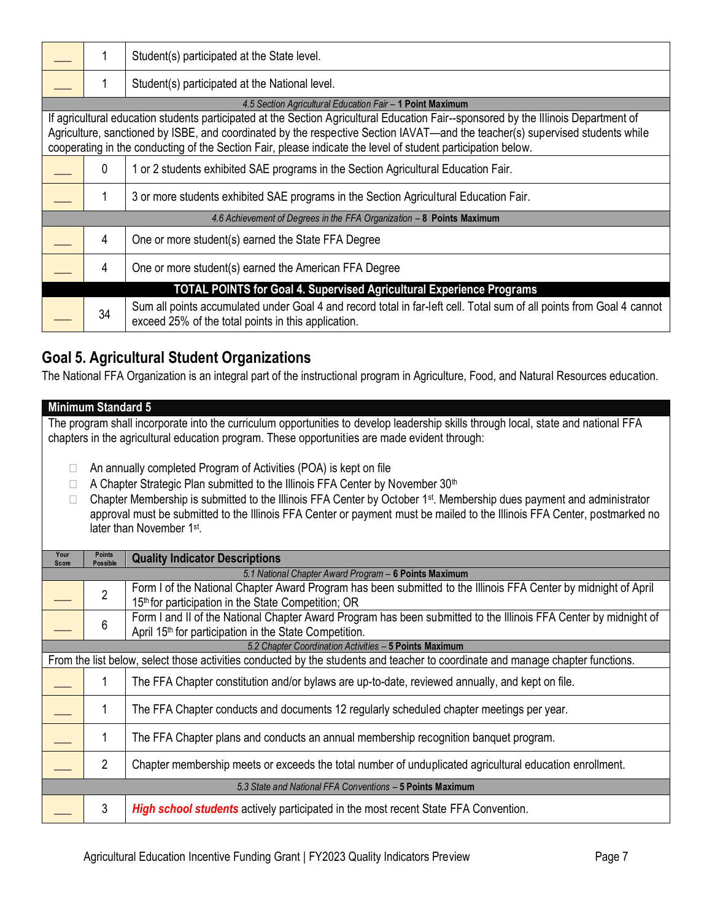| 1  | Student(s) participated at the State level.                                                                                                                                                                                                                                                                                                                                          |
|----|--------------------------------------------------------------------------------------------------------------------------------------------------------------------------------------------------------------------------------------------------------------------------------------------------------------------------------------------------------------------------------------|
|    | Student(s) participated at the National level.                                                                                                                                                                                                                                                                                                                                       |
|    | 4.5 Section Agricultural Education Fair - 1 Point Maximum                                                                                                                                                                                                                                                                                                                            |
|    | If agricultural education students participated at the Section Agricultural Education Fair--sponsored by the Illinois Department of<br>Agriculture, sanctioned by ISBE, and coordinated by the respective Section IAVAT—and the teacher(s) supervised students while<br>cooperating in the conducting of the Section Fair, please indicate the level of student participation below. |
| 0  | 1 or 2 students exhibited SAE programs in the Section Agricultural Education Fair.                                                                                                                                                                                                                                                                                                   |
|    | 3 or more students exhibited SAE programs in the Section Agricultural Education Fair.                                                                                                                                                                                                                                                                                                |
|    | 4.6 Achievement of Degrees in the FFA Organization - 8 Points Maximum                                                                                                                                                                                                                                                                                                                |
| 4  | One or more student(s) earned the State FFA Degree                                                                                                                                                                                                                                                                                                                                   |
| 4  | One or more student(s) earned the American FFA Degree                                                                                                                                                                                                                                                                                                                                |
|    | <b>TOTAL POINTS for Goal 4. Supervised Agricultural Experience Programs</b>                                                                                                                                                                                                                                                                                                          |
| 34 | Sum all points accumulated under Goal 4 and record total in far-left cell. Total sum of all points from Goal 4 cannot<br>exceed 25% of the total points in this application.                                                                                                                                                                                                         |

# **Goal 5. Agricultural Student Organizations**

The National FFA Organization is an integral part of the instructional program in Agriculture, Food, and Natural Resources education.

#### **Minimum Standard 5**

The program shall incorporate into the curriculum opportunities to develop leadership skills through local, state and national FFA chapters in the agricultural education program. These opportunities are made evident through:

- □ An annually completed Program of Activities (POA) is kept on file
- $\Box$  A Chapter Strategic Plan submitted to the Illinois FFA Center by November 30<sup>th</sup>
- $\Box$  Chapter Membership is submitted to the Illinois FFA Center by October 1<sup>st</sup>. Membership dues payment and administrator approval must be submitted to the Illinois FFA Center or payment must be mailed to the Illinois FFA Center, postmarked no later than November 1<sup>st</sup>.

| Your<br><b>Score</b> | <b>Points</b><br><b>Possible</b>                      | <b>Quality Indicator Descriptions</b>                                                                                          |  |  |  |
|----------------------|-------------------------------------------------------|--------------------------------------------------------------------------------------------------------------------------------|--|--|--|
|                      | 5.1 National Chapter Award Program - 6 Points Maximum |                                                                                                                                |  |  |  |
|                      | $\overline{2}$                                        | Form I of the National Chapter Award Program has been submitted to the Illinois FFA Center by midnight of April                |  |  |  |
|                      |                                                       | 15th for participation in the State Competition; OR                                                                            |  |  |  |
|                      |                                                       | Form I and II of the National Chapter Award Program has been submitted to the Illinois FFA Center by midnight of               |  |  |  |
|                      | 6                                                     | April 15 <sup>th</sup> for participation in the State Competition.                                                             |  |  |  |
|                      |                                                       | 5.2 Chapter Coordination Activities - 5 Points Maximum                                                                         |  |  |  |
|                      |                                                       | From the list below, select those activities conducted by the students and teacher to coordinate and manage chapter functions. |  |  |  |
|                      | 1                                                     | The FFA Chapter constitution and/or bylaws are up-to-date, reviewed annually, and kept on file.                                |  |  |  |
|                      |                                                       |                                                                                                                                |  |  |  |
|                      |                                                       | The FFA Chapter conducts and documents 12 regularly scheduled chapter meetings per year.                                       |  |  |  |
|                      |                                                       |                                                                                                                                |  |  |  |
|                      |                                                       | The FFA Chapter plans and conducts an annual membership recognition banquet program.                                           |  |  |  |
|                      |                                                       |                                                                                                                                |  |  |  |
|                      | $\overline{2}$                                        | Chapter membership meets or exceeds the total number of unduplicated agricultural education enrollment.                        |  |  |  |
|                      |                                                       |                                                                                                                                |  |  |  |
|                      |                                                       | 5.3 State and National FFA Conventions - 5 Points Maximum                                                                      |  |  |  |
|                      | 3                                                     | <b>High school students</b> actively participated in the most recent State FFA Convention.                                     |  |  |  |
|                      |                                                       |                                                                                                                                |  |  |  |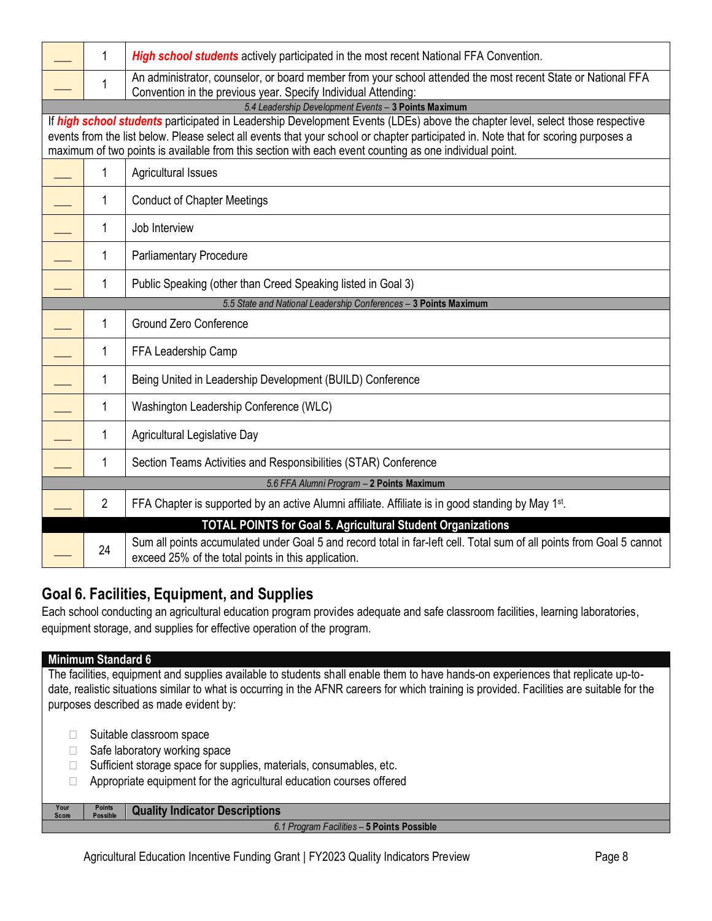| 1                                                                | <b>High school students</b> actively participated in the most recent National FFA Convention.                                                                                  |  |  |  |
|------------------------------------------------------------------|--------------------------------------------------------------------------------------------------------------------------------------------------------------------------------|--|--|--|
| 1                                                                | An administrator, counselor, or board member from your school attended the most recent State or National FFA<br>Convention in the previous year. Specify Individual Attending: |  |  |  |
|                                                                  | 5.4 Leadership Development Events - 3 Points Maximum                                                                                                                           |  |  |  |
|                                                                  | If high school students participated in Leadership Development Events (LDEs) above the chapter level, select those respective                                                  |  |  |  |
|                                                                  | events from the list below. Please select all events that your school or chapter participated in. Note that for scoring purposes a                                             |  |  |  |
|                                                                  | maximum of two points is available from this section with each event counting as one individual point.                                                                         |  |  |  |
| 1                                                                | Agricultural Issues                                                                                                                                                            |  |  |  |
| 1                                                                | <b>Conduct of Chapter Meetings</b>                                                                                                                                             |  |  |  |
| 1                                                                | Job Interview                                                                                                                                                                  |  |  |  |
| 1                                                                | <b>Parliamentary Procedure</b>                                                                                                                                                 |  |  |  |
| 1                                                                | Public Speaking (other than Creed Speaking listed in Goal 3)                                                                                                                   |  |  |  |
| 5.5 State and National Leadership Conferences - 3 Points Maximum |                                                                                                                                                                                |  |  |  |
| 1                                                                | <b>Ground Zero Conference</b>                                                                                                                                                  |  |  |  |
| 1                                                                | FFA Leadership Camp                                                                                                                                                            |  |  |  |
| 1                                                                | Being United in Leadership Development (BUILD) Conference                                                                                                                      |  |  |  |
| 1                                                                | Washington Leadership Conference (WLC)                                                                                                                                         |  |  |  |
| 1                                                                | <b>Agricultural Legislative Day</b>                                                                                                                                            |  |  |  |
| 1                                                                | Section Teams Activities and Responsibilities (STAR) Conference                                                                                                                |  |  |  |
|                                                                  | 5.6 FFA Alumni Program - 2 Points Maximum                                                                                                                                      |  |  |  |
| $\overline{2}$                                                   | FFA Chapter is supported by an active Alumni affiliate. Affiliate is in good standing by May 1 <sup>st</sup> .                                                                 |  |  |  |
|                                                                  | <b>TOTAL POINTS for Goal 5. Agricultural Student Organizations</b>                                                                                                             |  |  |  |
| 24                                                               | Sum all points accumulated under Goal 5 and record total in far-left cell. Total sum of all points from Goal 5 cannot<br>exceed 25% of the total points in this application.   |  |  |  |

# **Goal 6. Facilities, Equipment, and Supplies**

Each school conducting an agricultural education program provides adequate and safe classroom facilities, learning laboratories, equipment storage, and supplies for effective operation of the program.

### **Minimum Standard 6**

**Your Score**

The facilities, equipment and supplies available to students shall enable them to have hands-on experiences that replicate up-todate, realistic situations similar to what is occurring in the AFNR careers for which training is provided. Facilities are suitable for the purposes described as made evident by:

- $\Box$  Suitable classroom space
- $\Box$  Safe laboratory working space
- $\Box$  Sufficient storage space for supplies, materials, consumables, etc.
- $\Box$  Appropriate equipment for the agricultural education courses offered

**Points Quality Indicator Descriptions** 

*6.1 Program Facilities –* **5 Points Possible**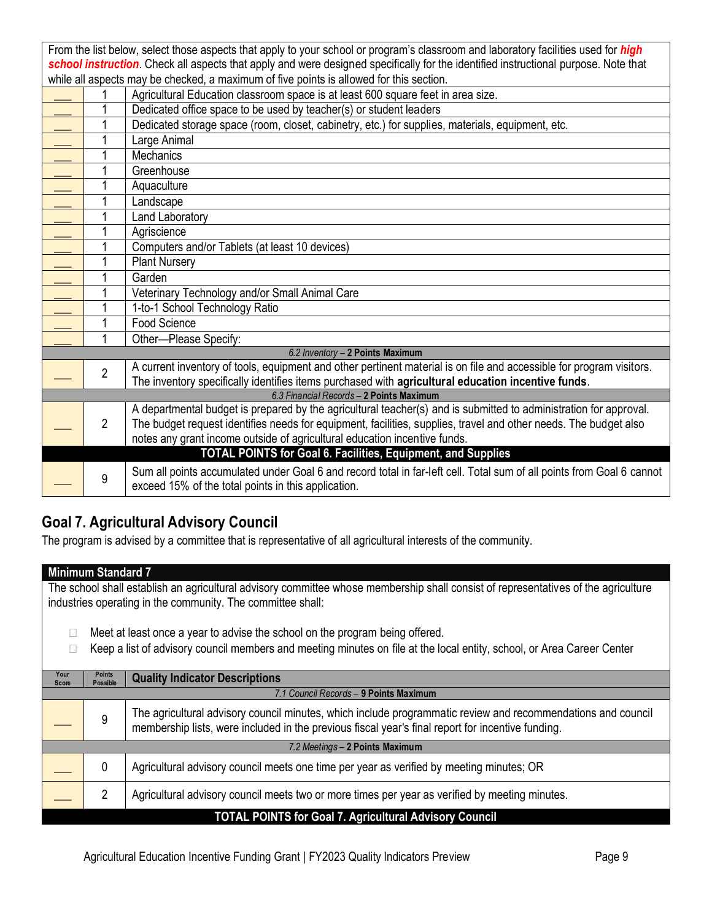|                                                                                                                                     | From the list below, select those aspects that apply to your school or program's classroom and laboratory facilities used for <i>high</i> |                                                                                                                       |  |  |
|-------------------------------------------------------------------------------------------------------------------------------------|-------------------------------------------------------------------------------------------------------------------------------------------|-----------------------------------------------------------------------------------------------------------------------|--|--|
| school instruction. Check all aspects that apply and were designed specifically for the identified instructional purpose. Note that |                                                                                                                                           |                                                                                                                       |  |  |
|                                                                                                                                     |                                                                                                                                           | while all aspects may be checked, a maximum of five points is allowed for this section.                               |  |  |
|                                                                                                                                     |                                                                                                                                           | Agricultural Education classroom space is at least 600 square feet in area size.                                      |  |  |
|                                                                                                                                     | 1                                                                                                                                         | Dedicated office space to be used by teacher(s) or student leaders                                                    |  |  |
|                                                                                                                                     |                                                                                                                                           | Dedicated storage space (room, closet, cabinetry, etc.) for supplies, materials, equipment, etc.                      |  |  |
|                                                                                                                                     | 1                                                                                                                                         | Large Animal                                                                                                          |  |  |
|                                                                                                                                     |                                                                                                                                           | <b>Mechanics</b>                                                                                                      |  |  |
|                                                                                                                                     | 1                                                                                                                                         | Greenhouse                                                                                                            |  |  |
|                                                                                                                                     |                                                                                                                                           | Aquaculture                                                                                                           |  |  |
|                                                                                                                                     | 1                                                                                                                                         | Landscape                                                                                                             |  |  |
|                                                                                                                                     |                                                                                                                                           | <b>Land Laboratory</b>                                                                                                |  |  |
|                                                                                                                                     |                                                                                                                                           | Agriscience                                                                                                           |  |  |
|                                                                                                                                     |                                                                                                                                           | Computers and/or Tablets (at least 10 devices)                                                                        |  |  |
|                                                                                                                                     | 1                                                                                                                                         | <b>Plant Nursery</b>                                                                                                  |  |  |
|                                                                                                                                     | 1                                                                                                                                         | Garden                                                                                                                |  |  |
|                                                                                                                                     |                                                                                                                                           | Veterinary Technology and/or Small Animal Care                                                                        |  |  |
|                                                                                                                                     | 1                                                                                                                                         | 1-to-1 School Technology Ratio                                                                                        |  |  |
|                                                                                                                                     | 1                                                                                                                                         | Food Science                                                                                                          |  |  |
|                                                                                                                                     | 1                                                                                                                                         | Other-Please Specify:                                                                                                 |  |  |
|                                                                                                                                     |                                                                                                                                           | 6.2 Inventory - 2 Points Maximum                                                                                      |  |  |
|                                                                                                                                     | $\overline{2}$                                                                                                                            | A current inventory of tools, equipment and other pertinent material is on file and accessible for program visitors.  |  |  |
|                                                                                                                                     |                                                                                                                                           | The inventory specifically identifies items purchased with agricultural education incentive funds.                    |  |  |
|                                                                                                                                     |                                                                                                                                           | 6.3 Financial Records - 2 Points Maximum                                                                              |  |  |
|                                                                                                                                     |                                                                                                                                           | A departmental budget is prepared by the agricultural teacher(s) and is submitted to administration for approval.     |  |  |
|                                                                                                                                     | $\overline{2}$                                                                                                                            | The budget request identifies needs for equipment, facilities, supplies, travel and other needs. The budget also      |  |  |
|                                                                                                                                     |                                                                                                                                           | notes any grant income outside of agricultural education incentive funds.                                             |  |  |
|                                                                                                                                     |                                                                                                                                           | TOTAL POINTS for Goal 6. Facilities, Equipment, and Supplies                                                          |  |  |
|                                                                                                                                     | 9                                                                                                                                         | Sum all points accumulated under Goal 6 and record total in far-left cell. Total sum of all points from Goal 6 cannot |  |  |
|                                                                                                                                     |                                                                                                                                           | exceed 15% of the total points in this application.                                                                   |  |  |

# **Goal 7. Agricultural Advisory Council**

The program is advised by a committee that is representative of all agricultural interests of the community.

#### **Minimum Standard 7**

The school shall establish an agricultural advisory committee whose membership shall consist of representatives of the agriculture industries operating in the community. The committee shall:

- $\Box$  Meet at least once a year to advise the school on the program being offered.
- □ Keep a list of advisory council members and meeting minutes on file at the local entity, school, or Area Career Center

| Your<br>Score                                                 | <b>Points</b><br><b>Possible</b>       | <b>Quality Indicator Descriptions</b>                                                                                                                                                                             |  |
|---------------------------------------------------------------|----------------------------------------|-------------------------------------------------------------------------------------------------------------------------------------------------------------------------------------------------------------------|--|
|                                                               | 7.1 Council Records - 9 Points Maximum |                                                                                                                                                                                                                   |  |
|                                                               | 9                                      | The agricultural advisory council minutes, which include programmatic review and recommendations and council<br>membership lists, were included in the previous fiscal year's final report for incentive funding. |  |
|                                                               | 7.2 Meetings - 2 Points Maximum        |                                                                                                                                                                                                                   |  |
|                                                               | 0                                      | Agricultural advisory council meets one time per year as verified by meeting minutes; OR                                                                                                                          |  |
|                                                               |                                        | Agricultural advisory council meets two or more times per year as verified by meeting minutes.                                                                                                                    |  |
| <b>TOTAL POINTS for Goal 7. Agricultural Advisory Council</b> |                                        |                                                                                                                                                                                                                   |  |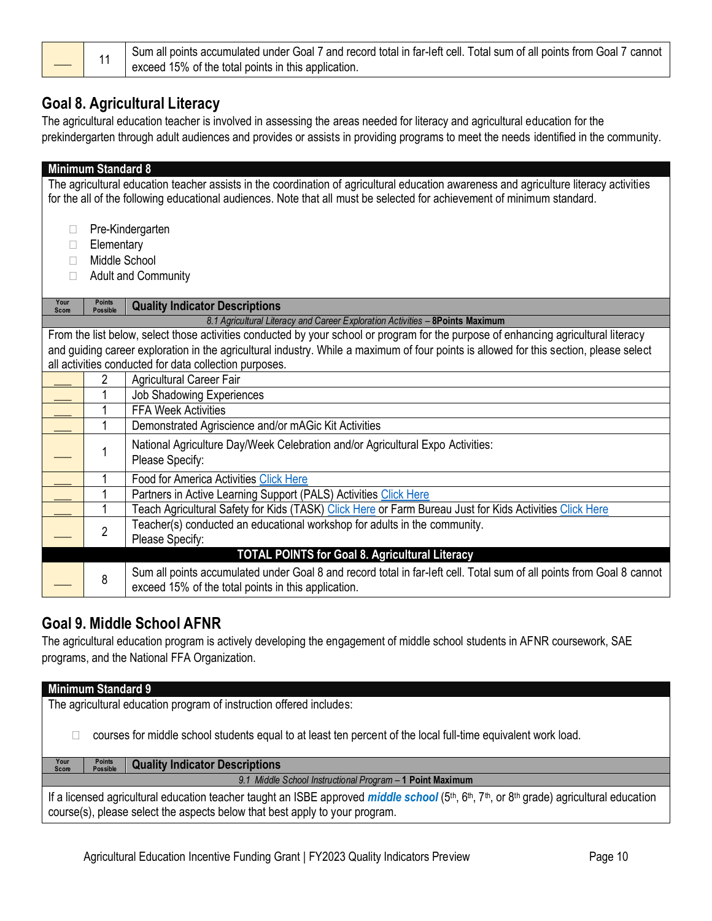1 Sum all points accumulated under Goal 7 and record total in far-left cell. Total sum of all points from Goal 7 cannot exceed 15% of the total points in this application.

# **Goal 8. Agricultural Literacy**

The agricultural education teacher is involved in assessing the areas needed for literacy and agricultural education for the prekindergarten through adult audiences and provides or assists in providing programs to meet the needs identified in the community.

| The agricultural education teacher assists in the coordination of agricultural education awareness and agriculture literacy activities<br>for the all of the following educational audiences. Note that all must be selected for achievement of minimum standard.<br>Pre-Kindergarten<br>Elementary<br>Middle School<br><b>Adult and Community</b><br><b>Points</b><br>Your<br><b>Quality Indicator Descriptions</b><br><b>Possible</b><br><b>Score</b><br>8.1 Agricultural Literacy and Career Exploration Activities - 8Points Maximum<br>From the list below, select those activities conducted by your school or program for the purpose of enhancing agricultural literacy<br>and guiding career exploration in the agricultural industry. While a maximum of four points is allowed for this section, please select<br>all activities conducted for data collection purposes.<br>2<br>Agricultural Career Fair<br>Job Shadowing Experiences<br><b>FFA Week Activities</b><br>$\mathbf{1}$<br>Demonstrated Agriscience and/or mAGic Kit Activities<br>National Agriculture Day/Week Celebration and/or Agricultural Expo Activities:<br>1<br>Please Specify:<br>1<br><b>Food for America Activities Click Here</b><br>Partners in Active Learning Support (PALS) Activities Click Here<br>1<br>1<br>Teach Agricultural Safety for Kids (TASK) Click Here or Farm Bureau Just for Kids Activities Click Here<br>Teacher(s) conducted an educational workshop for adults in the community.<br>$\overline{2}$<br>Please Specify:<br><b>TOTAL POINTS for Goal 8. Agricultural Literacy</b><br>Sum all points accumulated under Goal 8 and record total in far-left cell. Total sum of all points from Goal 8 cannot<br>8<br>exceed 15% of the total points in this application. |  | <b>Minimum Standard 8</b> |  |  |  |
|----------------------------------------------------------------------------------------------------------------------------------------------------------------------------------------------------------------------------------------------------------------------------------------------------------------------------------------------------------------------------------------------------------------------------------------------------------------------------------------------------------------------------------------------------------------------------------------------------------------------------------------------------------------------------------------------------------------------------------------------------------------------------------------------------------------------------------------------------------------------------------------------------------------------------------------------------------------------------------------------------------------------------------------------------------------------------------------------------------------------------------------------------------------------------------------------------------------------------------------------------------------------------------------------------------------------------------------------------------------------------------------------------------------------------------------------------------------------------------------------------------------------------------------------------------------------------------------------------------------------------------------------------------------------------------------------------------------------------------------------------------------------------------|--|---------------------------|--|--|--|
|                                                                                                                                                                                                                                                                                                                                                                                                                                                                                                                                                                                                                                                                                                                                                                                                                                                                                                                                                                                                                                                                                                                                                                                                                                                                                                                                                                                                                                                                                                                                                                                                                                                                                                                                                                                  |  |                           |  |  |  |
|                                                                                                                                                                                                                                                                                                                                                                                                                                                                                                                                                                                                                                                                                                                                                                                                                                                                                                                                                                                                                                                                                                                                                                                                                                                                                                                                                                                                                                                                                                                                                                                                                                                                                                                                                                                  |  |                           |  |  |  |
|                                                                                                                                                                                                                                                                                                                                                                                                                                                                                                                                                                                                                                                                                                                                                                                                                                                                                                                                                                                                                                                                                                                                                                                                                                                                                                                                                                                                                                                                                                                                                                                                                                                                                                                                                                                  |  |                           |  |  |  |
|                                                                                                                                                                                                                                                                                                                                                                                                                                                                                                                                                                                                                                                                                                                                                                                                                                                                                                                                                                                                                                                                                                                                                                                                                                                                                                                                                                                                                                                                                                                                                                                                                                                                                                                                                                                  |  |                           |  |  |  |
|                                                                                                                                                                                                                                                                                                                                                                                                                                                                                                                                                                                                                                                                                                                                                                                                                                                                                                                                                                                                                                                                                                                                                                                                                                                                                                                                                                                                                                                                                                                                                                                                                                                                                                                                                                                  |  |                           |  |  |  |
|                                                                                                                                                                                                                                                                                                                                                                                                                                                                                                                                                                                                                                                                                                                                                                                                                                                                                                                                                                                                                                                                                                                                                                                                                                                                                                                                                                                                                                                                                                                                                                                                                                                                                                                                                                                  |  |                           |  |  |  |
|                                                                                                                                                                                                                                                                                                                                                                                                                                                                                                                                                                                                                                                                                                                                                                                                                                                                                                                                                                                                                                                                                                                                                                                                                                                                                                                                                                                                                                                                                                                                                                                                                                                                                                                                                                                  |  |                           |  |  |  |
|                                                                                                                                                                                                                                                                                                                                                                                                                                                                                                                                                                                                                                                                                                                                                                                                                                                                                                                                                                                                                                                                                                                                                                                                                                                                                                                                                                                                                                                                                                                                                                                                                                                                                                                                                                                  |  |                           |  |  |  |
|                                                                                                                                                                                                                                                                                                                                                                                                                                                                                                                                                                                                                                                                                                                                                                                                                                                                                                                                                                                                                                                                                                                                                                                                                                                                                                                                                                                                                                                                                                                                                                                                                                                                                                                                                                                  |  |                           |  |  |  |
|                                                                                                                                                                                                                                                                                                                                                                                                                                                                                                                                                                                                                                                                                                                                                                                                                                                                                                                                                                                                                                                                                                                                                                                                                                                                                                                                                                                                                                                                                                                                                                                                                                                                                                                                                                                  |  |                           |  |  |  |
|                                                                                                                                                                                                                                                                                                                                                                                                                                                                                                                                                                                                                                                                                                                                                                                                                                                                                                                                                                                                                                                                                                                                                                                                                                                                                                                                                                                                                                                                                                                                                                                                                                                                                                                                                                                  |  |                           |  |  |  |
|                                                                                                                                                                                                                                                                                                                                                                                                                                                                                                                                                                                                                                                                                                                                                                                                                                                                                                                                                                                                                                                                                                                                                                                                                                                                                                                                                                                                                                                                                                                                                                                                                                                                                                                                                                                  |  |                           |  |  |  |
|                                                                                                                                                                                                                                                                                                                                                                                                                                                                                                                                                                                                                                                                                                                                                                                                                                                                                                                                                                                                                                                                                                                                                                                                                                                                                                                                                                                                                                                                                                                                                                                                                                                                                                                                                                                  |  |                           |  |  |  |
|                                                                                                                                                                                                                                                                                                                                                                                                                                                                                                                                                                                                                                                                                                                                                                                                                                                                                                                                                                                                                                                                                                                                                                                                                                                                                                                                                                                                                                                                                                                                                                                                                                                                                                                                                                                  |  |                           |  |  |  |
|                                                                                                                                                                                                                                                                                                                                                                                                                                                                                                                                                                                                                                                                                                                                                                                                                                                                                                                                                                                                                                                                                                                                                                                                                                                                                                                                                                                                                                                                                                                                                                                                                                                                                                                                                                                  |  |                           |  |  |  |
|                                                                                                                                                                                                                                                                                                                                                                                                                                                                                                                                                                                                                                                                                                                                                                                                                                                                                                                                                                                                                                                                                                                                                                                                                                                                                                                                                                                                                                                                                                                                                                                                                                                                                                                                                                                  |  |                           |  |  |  |
|                                                                                                                                                                                                                                                                                                                                                                                                                                                                                                                                                                                                                                                                                                                                                                                                                                                                                                                                                                                                                                                                                                                                                                                                                                                                                                                                                                                                                                                                                                                                                                                                                                                                                                                                                                                  |  |                           |  |  |  |
|                                                                                                                                                                                                                                                                                                                                                                                                                                                                                                                                                                                                                                                                                                                                                                                                                                                                                                                                                                                                                                                                                                                                                                                                                                                                                                                                                                                                                                                                                                                                                                                                                                                                                                                                                                                  |  |                           |  |  |  |
|                                                                                                                                                                                                                                                                                                                                                                                                                                                                                                                                                                                                                                                                                                                                                                                                                                                                                                                                                                                                                                                                                                                                                                                                                                                                                                                                                                                                                                                                                                                                                                                                                                                                                                                                                                                  |  |                           |  |  |  |
|                                                                                                                                                                                                                                                                                                                                                                                                                                                                                                                                                                                                                                                                                                                                                                                                                                                                                                                                                                                                                                                                                                                                                                                                                                                                                                                                                                                                                                                                                                                                                                                                                                                                                                                                                                                  |  |                           |  |  |  |
|                                                                                                                                                                                                                                                                                                                                                                                                                                                                                                                                                                                                                                                                                                                                                                                                                                                                                                                                                                                                                                                                                                                                                                                                                                                                                                                                                                                                                                                                                                                                                                                                                                                                                                                                                                                  |  |                           |  |  |  |
|                                                                                                                                                                                                                                                                                                                                                                                                                                                                                                                                                                                                                                                                                                                                                                                                                                                                                                                                                                                                                                                                                                                                                                                                                                                                                                                                                                                                                                                                                                                                                                                                                                                                                                                                                                                  |  |                           |  |  |  |
|                                                                                                                                                                                                                                                                                                                                                                                                                                                                                                                                                                                                                                                                                                                                                                                                                                                                                                                                                                                                                                                                                                                                                                                                                                                                                                                                                                                                                                                                                                                                                                                                                                                                                                                                                                                  |  |                           |  |  |  |
|                                                                                                                                                                                                                                                                                                                                                                                                                                                                                                                                                                                                                                                                                                                                                                                                                                                                                                                                                                                                                                                                                                                                                                                                                                                                                                                                                                                                                                                                                                                                                                                                                                                                                                                                                                                  |  |                           |  |  |  |
|                                                                                                                                                                                                                                                                                                                                                                                                                                                                                                                                                                                                                                                                                                                                                                                                                                                                                                                                                                                                                                                                                                                                                                                                                                                                                                                                                                                                                                                                                                                                                                                                                                                                                                                                                                                  |  |                           |  |  |  |
|                                                                                                                                                                                                                                                                                                                                                                                                                                                                                                                                                                                                                                                                                                                                                                                                                                                                                                                                                                                                                                                                                                                                                                                                                                                                                                                                                                                                                                                                                                                                                                                                                                                                                                                                                                                  |  |                           |  |  |  |

# **Goal 9. Middle School AFNR**

The agricultural education program is actively developing the engagement of middle school students in AFNR coursework, SAE programs, and the National FFA Organization.

| <b>Minimum Standard 9</b>                                                                                                                                                                                                                 |                                  |                                       |  |
|-------------------------------------------------------------------------------------------------------------------------------------------------------------------------------------------------------------------------------------------|----------------------------------|---------------------------------------|--|
| The agricultural education program of instruction offered includes:                                                                                                                                                                       |                                  |                                       |  |
| courses for middle school students equal to at least ten percent of the local full-time equivalent work load.                                                                                                                             |                                  |                                       |  |
| Your<br>Score                                                                                                                                                                                                                             | <b>Points</b><br><b>Possible</b> | <b>Quality Indicator Descriptions</b> |  |
| 9.1 Middle School Instructional Program - 1 Point Maximum                                                                                                                                                                                 |                                  |                                       |  |
| If a licensed agricultural education teacher taught an ISBE approved <i>middle school</i> ( $5th$ , $6th$ , $7th$ , or $8th$ grade) agricultural education<br>course(s), please select the aspects below that best apply to your program. |                                  |                                       |  |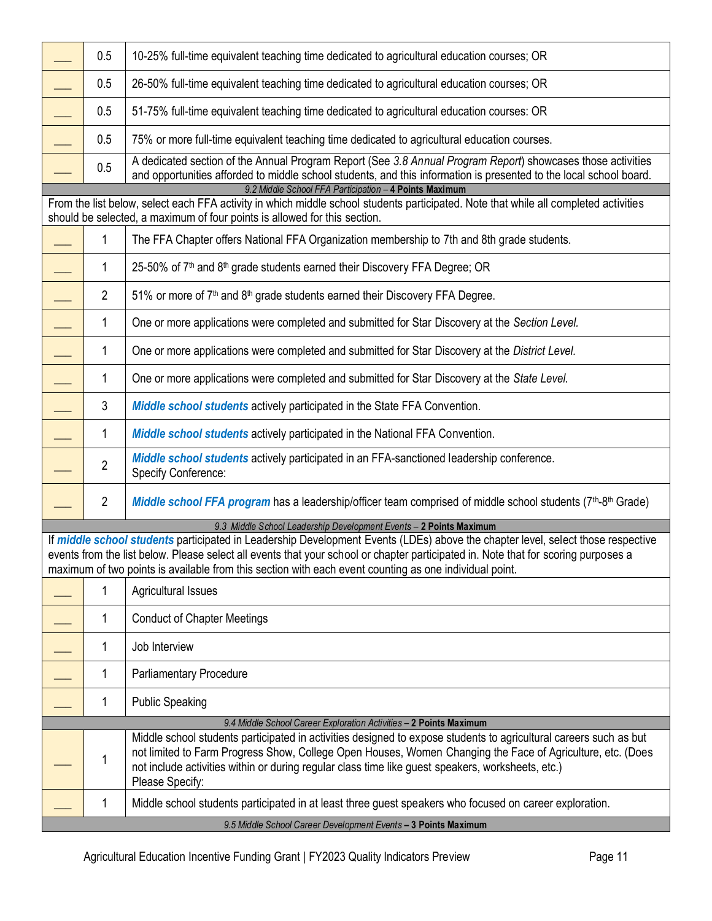|                                                                                                                                                                                                                                                                             | 0.5            | 10-25% full-time equivalent teaching time dedicated to agricultural education courses; OR                                                                                                                                                                                                                                                                                       |  |  |  |
|-----------------------------------------------------------------------------------------------------------------------------------------------------------------------------------------------------------------------------------------------------------------------------|----------------|---------------------------------------------------------------------------------------------------------------------------------------------------------------------------------------------------------------------------------------------------------------------------------------------------------------------------------------------------------------------------------|--|--|--|
|                                                                                                                                                                                                                                                                             | 0.5            | 26-50% full-time equivalent teaching time dedicated to agricultural education courses; OR                                                                                                                                                                                                                                                                                       |  |  |  |
|                                                                                                                                                                                                                                                                             | 0.5            | 51-75% full-time equivalent teaching time dedicated to agricultural education courses: OR                                                                                                                                                                                                                                                                                       |  |  |  |
|                                                                                                                                                                                                                                                                             | 0.5            | 75% or more full-time equivalent teaching time dedicated to agricultural education courses.                                                                                                                                                                                                                                                                                     |  |  |  |
|                                                                                                                                                                                                                                                                             | 0.5            | A dedicated section of the Annual Program Report (See 3.8 Annual Program Report) showcases those activities<br>and opportunities afforded to middle school students, and this information is presented to the local school board.                                                                                                                                               |  |  |  |
| 9.2 Middle School FFA Participation - 4 Points Maximum<br>From the list below, select each FFA activity in which middle school students participated. Note that while all completed activities<br>should be selected, a maximum of four points is allowed for this section. |                |                                                                                                                                                                                                                                                                                                                                                                                 |  |  |  |
|                                                                                                                                                                                                                                                                             | 1              | The FFA Chapter offers National FFA Organization membership to 7th and 8th grade students.                                                                                                                                                                                                                                                                                      |  |  |  |
|                                                                                                                                                                                                                                                                             | 1              | 25-50% of 7 <sup>th</sup> and 8 <sup>th</sup> grade students earned their Discovery FFA Degree; OR                                                                                                                                                                                                                                                                              |  |  |  |
|                                                                                                                                                                                                                                                                             | $\overline{2}$ | 51% or more of 7 <sup>th</sup> and 8 <sup>th</sup> grade students earned their Discovery FFA Degree.                                                                                                                                                                                                                                                                            |  |  |  |
|                                                                                                                                                                                                                                                                             | 1              | One or more applications were completed and submitted for Star Discovery at the Section Level.                                                                                                                                                                                                                                                                                  |  |  |  |
|                                                                                                                                                                                                                                                                             | $\mathbf{1}$   | One or more applications were completed and submitted for Star Discovery at the District Level.                                                                                                                                                                                                                                                                                 |  |  |  |
|                                                                                                                                                                                                                                                                             | $\mathbf{1}$   | One or more applications were completed and submitted for Star Discovery at the State Level.                                                                                                                                                                                                                                                                                    |  |  |  |
|                                                                                                                                                                                                                                                                             | 3              | <b>Middle school students actively participated in the State FFA Convention.</b>                                                                                                                                                                                                                                                                                                |  |  |  |
|                                                                                                                                                                                                                                                                             | 1              | <b>Middle school students actively participated in the National FFA Convention.</b>                                                                                                                                                                                                                                                                                             |  |  |  |
|                                                                                                                                                                                                                                                                             | $\overline{2}$ | Middle school students actively participated in an FFA-sanctioned leadership conference.<br><b>Specify Conference:</b>                                                                                                                                                                                                                                                          |  |  |  |
|                                                                                                                                                                                                                                                                             | $\overline{2}$ | Middle school FFA program has a leadership/officer team comprised of middle school students (7 <sup>th</sup> -8 <sup>th</sup> Grade)                                                                                                                                                                                                                                            |  |  |  |
|                                                                                                                                                                                                                                                                             |                | 9.3 Middle School Leadership Development Events - 2 Points Maximum                                                                                                                                                                                                                                                                                                              |  |  |  |
|                                                                                                                                                                                                                                                                             |                | If middle school students participated in Leadership Development Events (LDEs) above the chapter level, select those respective<br>events from the list below. Please select all events that your school or chapter participated in. Note that for scoring purposes a<br>maximum of two points is available from this section with each event counting as one individual point. |  |  |  |
|                                                                                                                                                                                                                                                                             | 1              | <b>Agricultural Issues</b>                                                                                                                                                                                                                                                                                                                                                      |  |  |  |
|                                                                                                                                                                                                                                                                             | 1              | <b>Conduct of Chapter Meetings</b>                                                                                                                                                                                                                                                                                                                                              |  |  |  |
|                                                                                                                                                                                                                                                                             | 1              | Job Interview                                                                                                                                                                                                                                                                                                                                                                   |  |  |  |
|                                                                                                                                                                                                                                                                             | 1              | <b>Parliamentary Procedure</b>                                                                                                                                                                                                                                                                                                                                                  |  |  |  |
|                                                                                                                                                                                                                                                                             | 1              | <b>Public Speaking</b>                                                                                                                                                                                                                                                                                                                                                          |  |  |  |
|                                                                                                                                                                                                                                                                             |                | 9.4 Middle School Career Exploration Activities - 2 Points Maximum                                                                                                                                                                                                                                                                                                              |  |  |  |
|                                                                                                                                                                                                                                                                             | 1              | Middle school students participated in activities designed to expose students to agricultural careers such as but<br>not limited to Farm Progress Show, College Open Houses, Women Changing the Face of Agriculture, etc. (Does<br>not include activities within or during regular class time like guest speakers, worksheets, etc.)<br>Please Specify:                         |  |  |  |
|                                                                                                                                                                                                                                                                             | 1              | Middle school students participated in at least three guest speakers who focused on career exploration.                                                                                                                                                                                                                                                                         |  |  |  |
|                                                                                                                                                                                                                                                                             |                | 9.5 Middle School Career Development Events - 3 Points Maximum                                                                                                                                                                                                                                                                                                                  |  |  |  |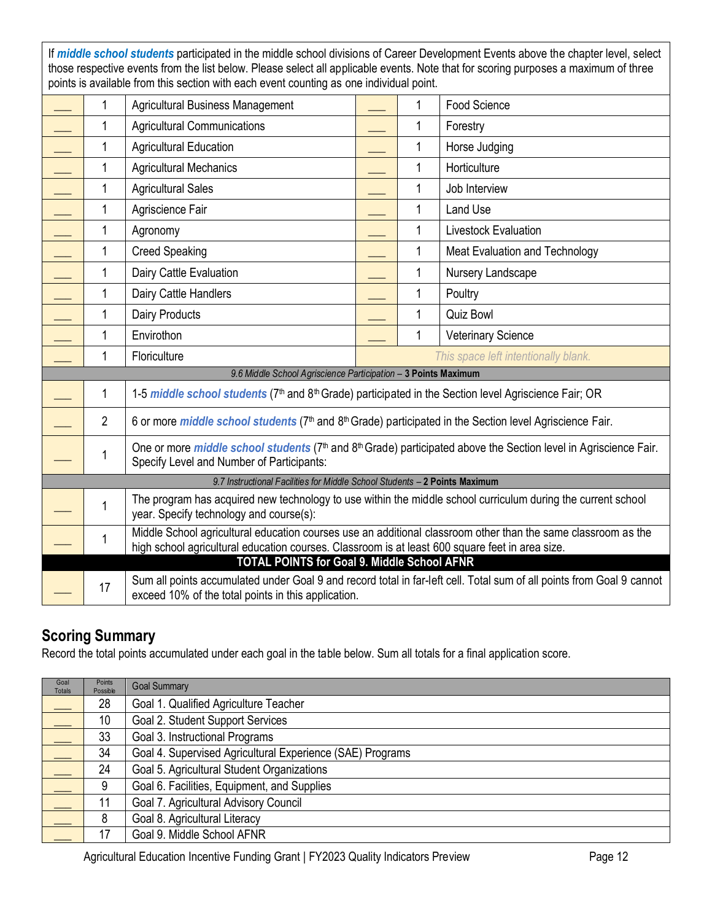If *middle school students* participated in the middle school divisions of Career Development Events above the chapter level, select those respective events from the list below. Please select all applicable events. Note that for scoring purposes a maximum of three points is available from this section with each event counting as one individual point.

|                                                                            | 1              | <b>Agricultural Business Management</b>                                                                                                                                                                          |  | 1            | Food Science                                                                                                          |
|----------------------------------------------------------------------------|----------------|------------------------------------------------------------------------------------------------------------------------------------------------------------------------------------------------------------------|--|--------------|-----------------------------------------------------------------------------------------------------------------------|
|                                                                            | 1              | <b>Agricultural Communications</b>                                                                                                                                                                               |  | 1            | Forestry                                                                                                              |
|                                                                            | 1              | <b>Agricultural Education</b>                                                                                                                                                                                    |  | 1            | Horse Judging                                                                                                         |
|                                                                            | 1              | <b>Agricultural Mechanics</b>                                                                                                                                                                                    |  | 1            | Horticulture                                                                                                          |
|                                                                            | 1              | <b>Agricultural Sales</b>                                                                                                                                                                                        |  | 1            | Job Interview                                                                                                         |
|                                                                            | 1              | Agriscience Fair                                                                                                                                                                                                 |  | 1            | Land Use                                                                                                              |
|                                                                            | 1              | Agronomy                                                                                                                                                                                                         |  | $\mathbf{1}$ | Livestock Evaluation                                                                                                  |
|                                                                            | 1              | <b>Creed Speaking</b>                                                                                                                                                                                            |  | 1            | Meat Evaluation and Technology                                                                                        |
|                                                                            | $\mathbf{1}$   | Dairy Cattle Evaluation                                                                                                                                                                                          |  | 1            | Nursery Landscape                                                                                                     |
|                                                                            | 1              | Dairy Cattle Handlers                                                                                                                                                                                            |  | 1            | Poultry                                                                                                               |
|                                                                            | $\mathbf{1}$   | Dairy Products                                                                                                                                                                                                   |  | 1            | <b>Quiz Bowl</b>                                                                                                      |
|                                                                            | $\mathbf{1}$   | Envirothon                                                                                                                                                                                                       |  | 1            | <b>Veterinary Science</b>                                                                                             |
|                                                                            | 1              | Floriculture                                                                                                                                                                                                     |  |              | This space left intentionally blank.                                                                                  |
|                                                                            |                | 9.6 Middle School Agriscience Participation - 3 Points Maximum                                                                                                                                                   |  |              |                                                                                                                       |
|                                                                            | 1              | 1-5 middle school students (7 <sup>th</sup> and 8 <sup>th</sup> Grade) participated in the Section level Agriscience Fair; OR                                                                                    |  |              |                                                                                                                       |
|                                                                            | $\overline{2}$ | 6 or more <i>middle school students</i> (7 <sup>th</sup> and 8 <sup>th</sup> Grade) participated in the Section level Agriscience Fair.                                                                          |  |              |                                                                                                                       |
|                                                                            | 1              | One or more <i>middle school students</i> (7 <sup>th</sup> and 8 <sup>th</sup> Grade) participated above the Section level in Agriscience Fair.<br>Specify Level and Number of Participants:                     |  |              |                                                                                                                       |
| 9.7 Instructional Facilities for Middle School Students - 2 Points Maximum |                |                                                                                                                                                                                                                  |  |              |                                                                                                                       |
|                                                                            | 1              | The program has acquired new technology to use within the middle school curriculum during the current school<br>year. Specify technology and course(s):                                                          |  |              |                                                                                                                       |
|                                                                            | 1              | Middle School agricultural education courses use an additional classroom other than the same classroom as the<br>high school agricultural education courses. Classroom is at least 600 square feet in area size. |  |              |                                                                                                                       |
|                                                                            |                | <b>TOTAL POINTS for Goal 9. Middle School AFNR</b>                                                                                                                                                               |  |              |                                                                                                                       |
|                                                                            | 17             | exceed 10% of the total points in this application.                                                                                                                                                              |  |              | Sum all points accumulated under Goal 9 and record total in far-left cell. Total sum of all points from Goal 9 cannot |

# **Scoring Summary**

Record the total points accumulated under each goal in the table below. Sum all totals for a final application score.

| Goal<br><b>Totals</b> | Points<br>Possible | <b>Goal Summary</b>                                       |
|-----------------------|--------------------|-----------------------------------------------------------|
|                       | 28                 | Goal 1. Qualified Agriculture Teacher                     |
|                       | 10                 | Goal 2. Student Support Services                          |
|                       | 33                 | Goal 3. Instructional Programs                            |
|                       | 34                 | Goal 4. Supervised Agricultural Experience (SAE) Programs |
|                       | 24                 | Goal 5. Agricultural Student Organizations                |
|                       | 9                  | Goal 6. Facilities, Equipment, and Supplies               |
|                       | 11                 | Goal 7. Agricultural Advisory Council                     |
|                       |                    | Goal 8. Agricultural Literacy                             |
|                       | 17                 | Goal 9. Middle School AFNR                                |

Agricultural Education Incentive Funding Grant | FY2023 Quality Indicators Preview Page 12